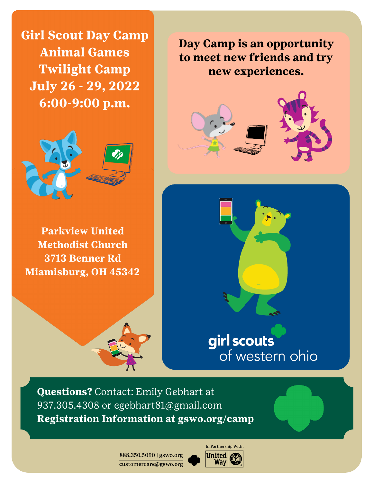**Girl Scout Day Camp Animal Games Twilight Camp July 26 - 29, 2022** 6:00-9:00 p.m.



**Parkview United Methodist Church** 3713 Benner Rd **Miamisburg, OH 45342** 







## girl scouts of western ohio

**Questions?** Contact: Emily Gebhart at 937.305.4308 or egebhart81@gmail.com Registration Information at gswo.org/camp

> 888.350.5090 | gswo.org customercare@gswo.org